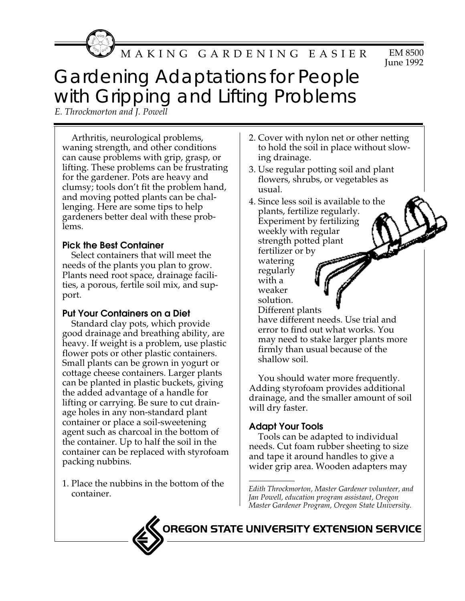MAKING GARDENING EASIER

#### EM 8500 June 1992

# Gardening Adaptations for People with Gripping and Lifting Problems

*E. Throckmorton and J. Powell*

Arthritis, neurological problems, waning strength, and other conditions can cause problems with grip, grasp, or lifting. These problems can be frustrating for the gardener. Pots are heavy and clumsy; tools don't fit the problem hand, and moving potted plants can be challenging. Here are some tips to help gardeners better deal with these problems.

#### **Pick the Best Container**

Select containers that will meet the needs of the plants you plan to grow. Plants need root space, drainage facilities, a porous, fertile soil mix, and support.

# **Put Your Containers on a Diet**

Standard clay pots, which provide good drainage and breathing ability, are heavy. If weight is a problem, use plastic flower pots or other plastic containers. Small plants can be grown in yogurt or cottage cheese containers. Larger plants can be planted in plastic buckets, giving the added advantage of a handle for lifting or carrying. Be sure to cut drainage holes in any non-standard plant container or place a soil-sweetening agent such as charcoal in the bottom of the container. Up to half the soil in the container can be replaced with styrofoam packing nubbins.

1. Place the nubbins in the bottom of the

- 2. Cover with nylon net or other netting to hold the soil in place without slowing drainage.
- 3. Use regular potting soil and plant flowers, shrubs, or vegetables as usual.

4. Since less soil is available to the plants, fertilize regularly. Experiment by fertilizing weekly with regular strength potted plant fertilizer or by watering regularly with a weaker solution. Different plants have different needs. Use trial and error to find out what works. You may need to stake larger plants more firmly than usual because of the shallow soil.

You should water more frequently. Adding styrofoam provides additional drainage, and the smaller amount of soil will dry faster.

# **Adapt Your Tools**

Tools can be adapted to individual needs. Cut foam rubber sheeting to size and tape it around handles to give a wider grip area. Wooden adapters may

OREGON STATE UNIVERSITY EXTENSION SERVICE

r race the Habbin's in the bottom of the and Edith Throckmorton, Master Gardener volunteer, and container. *Jan Powell, education program assistant, Oregon Master Gardener Program, Oregon State University.*